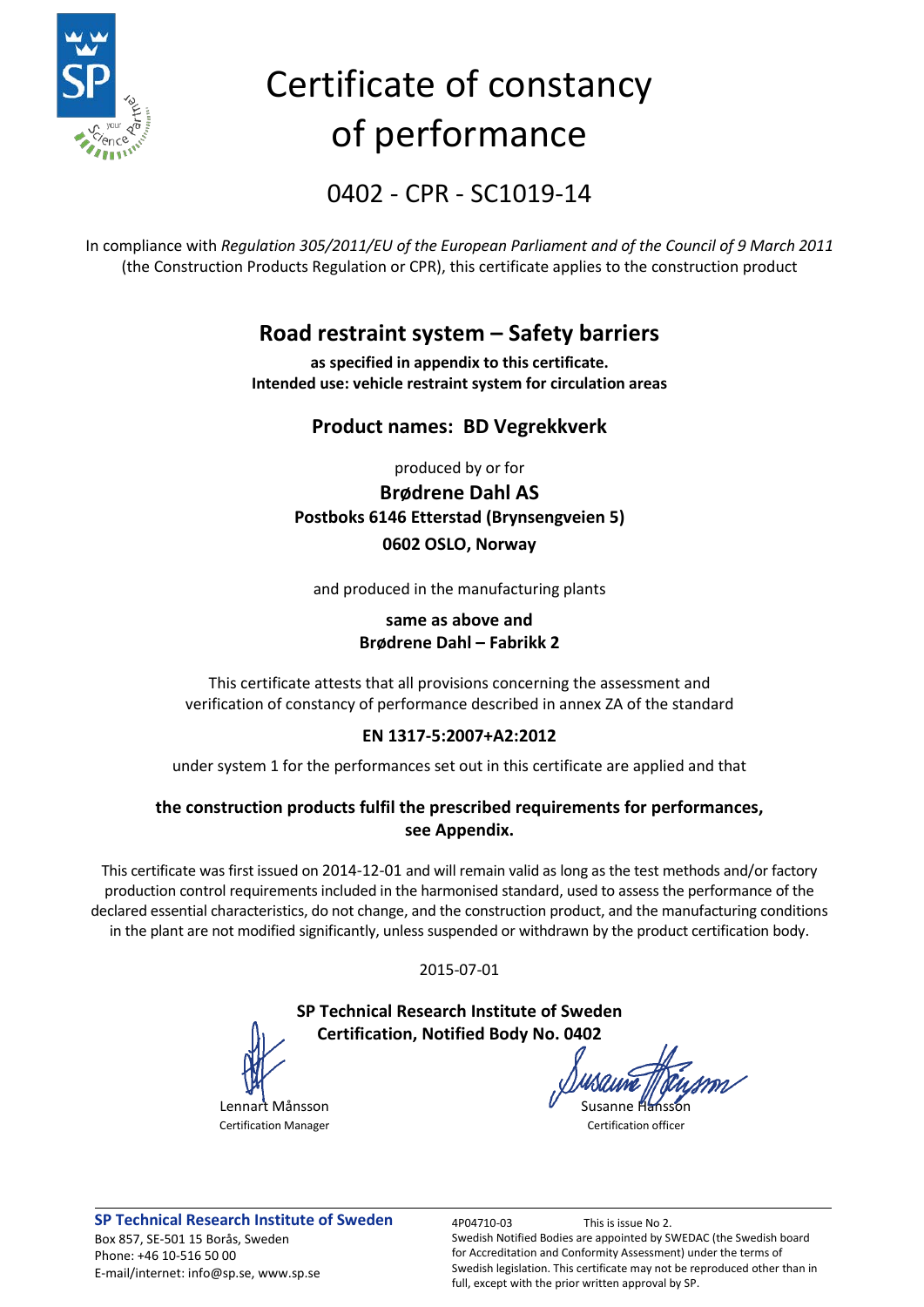

# Certificate of constancy of performance

0402 - CPR - SC1019-14

In compliance with *Regulation 305/2011/EU of the European Parliament and of the Council of 9 March 2011* (the Construction Products Regulation or CPR), this certificate applies to the construction product

### **Road restraint system – Safety barriers**

**as specified in appendix to this certificate. Intended use: vehicle restraint system for circulation areas**

### **Product names: BD Vegrekkverk**

produced by or for

**Brødrene Dahl AS Postboks 6146 Etterstad (Brynsengveien 5) 0602 OSLO, Norway**

and produced in the manufacturing plants

#### **same as above and Brødrene Dahl – Fabrikk 2**

This certificate attests that all provisions concerning the assessment and verification of constancy of performance described in annex ZA of the standard

### **EN 1317-5:2007+A2:2012**

under system 1 for the performances set out in this certificate are applied and that

### **the construction products fulfil the prescribed requirements for performances, see Appendix.**

This certificate was first issued on 2014-12-01 and will remain valid as long as the test methods and/or factory production control requirements included in the harmonised standard, used to assess the performance of the declared essential characteristics, do not change, and the construction product, and the manufacturing conditions in the plant are not modified significantly, unless suspended or withdrawn by the product certification body.

2015-07-01

### **SP Technical Research Institute of Sweden Certification, Notified Body No. 0402**

Lennart Månsson Susanne Hansson Susanne Hansson

Certification Manager **Certification Certification** officer

**SP Technical Research Institute of Sweden** 4P04710-03 This is issue No 2. Box 857, SE-501 15 Borås, Sweden Phone: +46 10-516 50 00 E-mail/internet: info@sp.se, www.sp.se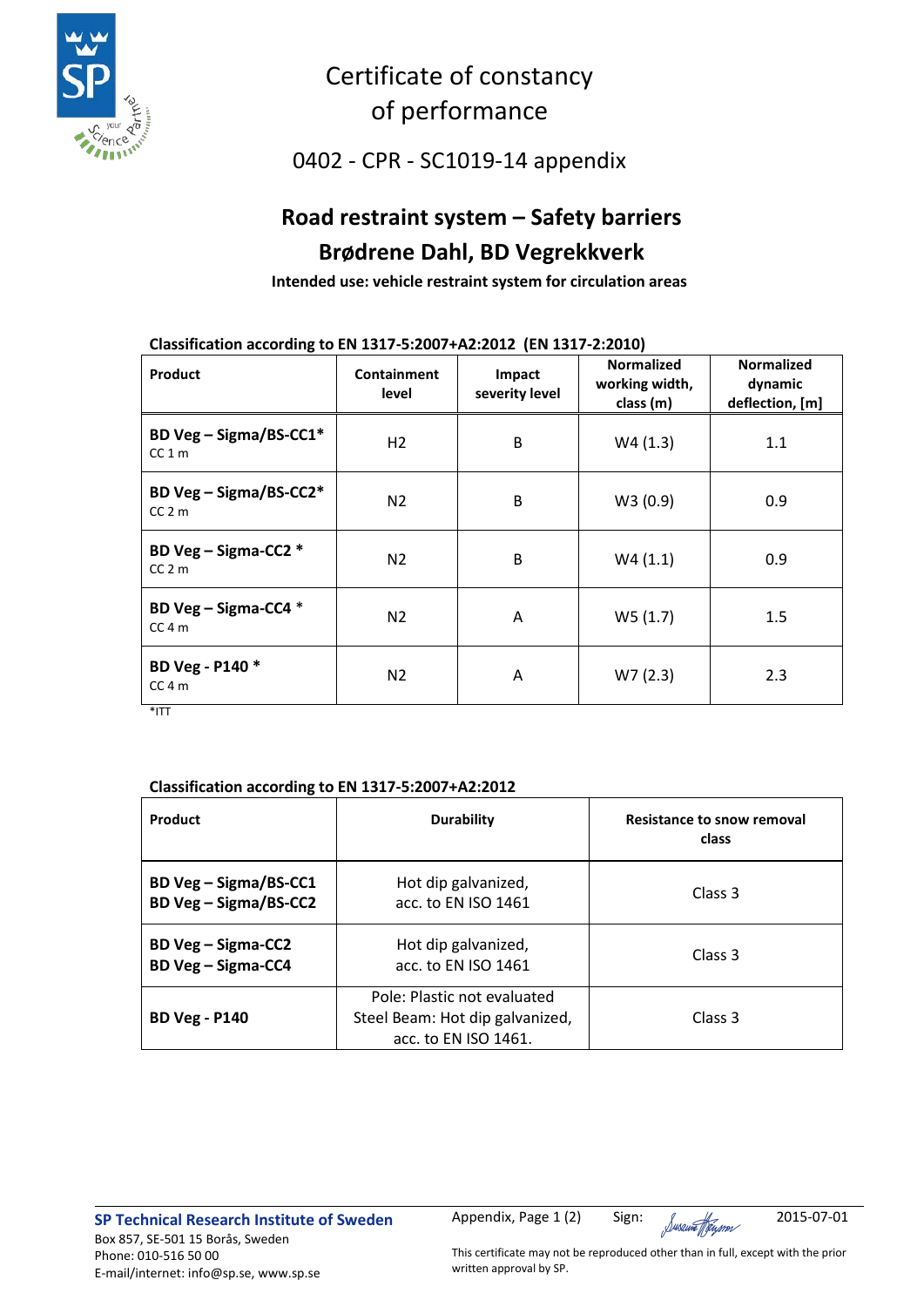

### Certificate of constancy of performance

0402 - CPR - SC1019-14 appendix

## **Road restraint system – Safety barriers Brødrene Dahl, BD Vegrekkverk**

**Intended use: vehicle restraint system for circulation areas**

### **Classification according to EN 1317-5:2007+A2:2012 (EN 1317-2:2010)**

| <b>Product</b>                    | Containment<br>level | Impact<br>severity level | <b>Normalized</b><br>working width,<br>class (m) | <b>Normalized</b><br>dynamic<br>deflection, [m] |
|-----------------------------------|----------------------|--------------------------|--------------------------------------------------|-------------------------------------------------|
| BD Veg - Sigma/BS-CC1*<br>$CC1$ m | H <sub>2</sub>       | B                        | W4(1.3)                                          | 1.1                                             |
| BD Veg - Sigma/BS-CC2*<br>$CC2$ m | N <sub>2</sub>       | B                        | W3(0.9)                                          | 0.9                                             |
| BD Veg - Sigma-CC2 *<br>$CC2$ m   | N <sub>2</sub>       | B                        | W4(1.1)                                          | 0.9                                             |
| BD Veg - Sigma-CC4 *<br>$CC4$ m   | N <sub>2</sub>       | A                        | W5(1.7)                                          | 1.5                                             |
| BD Veg - P140 *<br>$CC4$ m        | N <sub>2</sub>       | A                        | W7(2.3)                                          | 2.3                                             |

\*ITT

### **Classification according to EN 1317-5:2007+A2:2012**

| Product                                                | <b>Durability</b>                                                                      | <b>Resistance to snow removal</b><br>class |
|--------------------------------------------------------|----------------------------------------------------------------------------------------|--------------------------------------------|
| BD Veg - Sigma/BS-CC1<br><b>BD Veg - Sigma/BS-CC2</b>  | Hot dip galvanized,<br>acc. to EN ISO 1461                                             | Class 3                                    |
| <b>BD Veg - Sigma-CC2</b><br><b>BD Veg - Sigma-CC4</b> | Hot dip galvanized,<br>acc. to EN ISO 1461                                             | Class 3                                    |
| <b>BD Veg - P140</b>                                   | Pole: Plastic not evaluated<br>Steel Beam: Hot dip galvanized,<br>acc. to EN ISO 1461. | Class 3                                    |